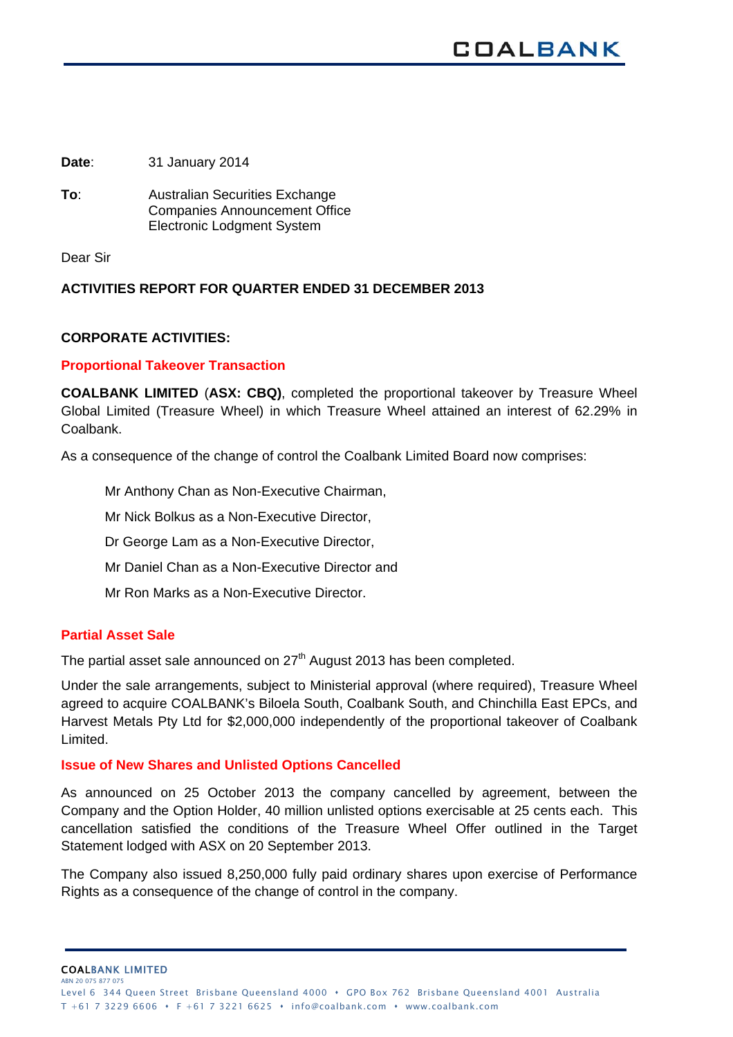**Date**: 31 January 2014

**To**: Australian Securities Exchange Companies Announcement Office Electronic Lodgment System

Dear Sir

# **ACTIVITIES REPORT FOR QUARTER ENDED 31 DECEMBER 2013**

# **CORPORATE ACTIVITIES:**

# **Proportional Takeover Transaction**

**COALBANK LIMITED** (**ASX: CBQ)**, completed the proportional takeover by Treasure Wheel Global Limited (Treasure Wheel) in which Treasure Wheel attained an interest of 62.29% in Coalbank.

As a consequence of the change of control the Coalbank Limited Board now comprises:

Mr Anthony Chan as Non-Executive Chairman,

Mr Nick Bolkus as a Non-Executive Director,

Dr George Lam as a Non-Executive Director,

Mr Daniel Chan as a Non-Executive Director and

Mr Ron Marks as a Non-Executive Director.

# **Partial Asset Sale**

The partial asset sale announced on  $27<sup>th</sup>$  August 2013 has been completed.

Under the sale arrangements, subject to Ministerial approval (where required), Treasure Wheel agreed to acquire COALBANK's Biloela South, Coalbank South, and Chinchilla East EPCs, and Harvest Metals Pty Ltd for \$2,000,000 independently of the proportional takeover of Coalbank Limited.

# **Issue of New Shares and Unlisted Options Cancelled**

As announced on 25 October 2013 the company cancelled by agreement, between the Company and the Option Holder, 40 million unlisted options exercisable at 25 cents each. This cancellation satisfied the conditions of the Treasure Wheel Offer outlined in the Target Statement lodged with ASX on 20 September 2013.

The Company also issued 8,250,000 fully paid ordinary shares upon exercise of Performance Rights as a consequence of the change of control in the company.

COALBANK LIMITED ABN 20 075 877 07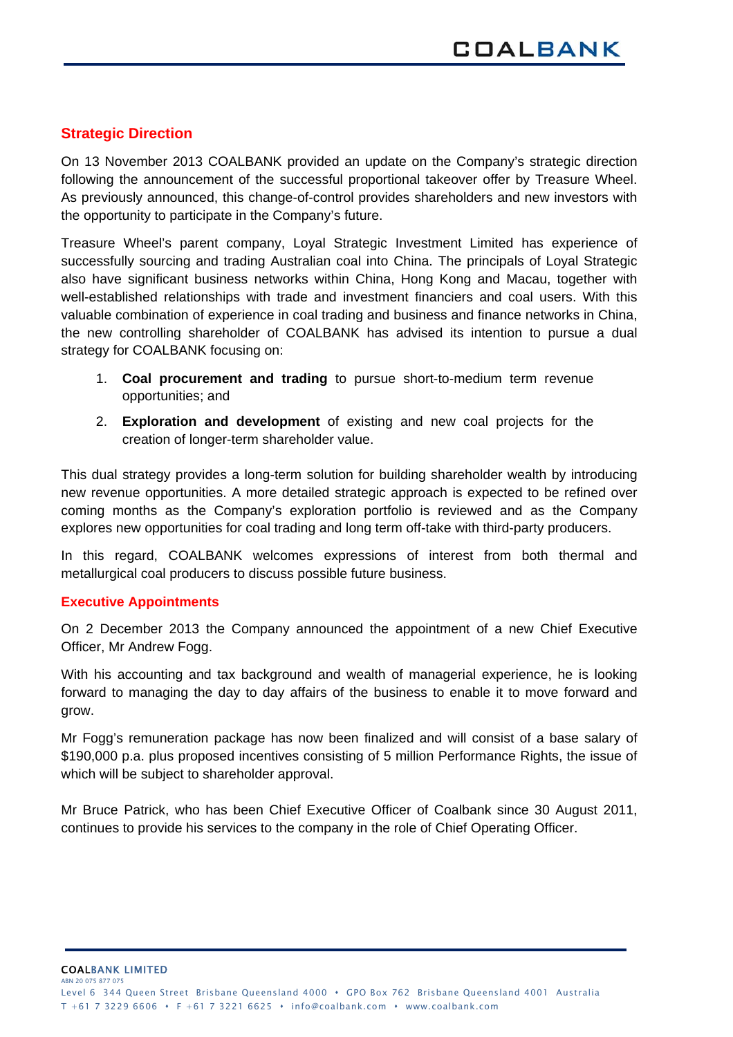# **Strategic Direction**

On 13 November 2013 COALBANK provided an update on the Company's strategic direction following the announcement of the successful proportional takeover offer by Treasure Wheel. As previously announced, this change-of-control provides shareholders and new investors with the opportunity to participate in the Company's future.

Treasure Wheel's parent company, Loyal Strategic Investment Limited has experience of successfully sourcing and trading Australian coal into China. The principals of Loyal Strategic also have significant business networks within China, Hong Kong and Macau, together with well-established relationships with trade and investment financiers and coal users. With this valuable combination of experience in coal trading and business and finance networks in China, the new controlling shareholder of COALBANK has advised its intention to pursue a dual strategy for COALBANK focusing on:

- 1. **Coal procurement and trading** to pursue short-to-medium term revenue opportunities; and
- 2. **Exploration and development** of existing and new coal projects for the creation of longer-term shareholder value.

This dual strategy provides a long-term solution for building shareholder wealth by introducing new revenue opportunities. A more detailed strategic approach is expected to be refined over coming months as the Company's exploration portfolio is reviewed and as the Company explores new opportunities for coal trading and long term off-take with third-party producers.

In this regard, COALBANK welcomes expressions of interest from both thermal and metallurgical coal producers to discuss possible future business.

# **Executive Appointments**

On 2 December 2013 the Company announced the appointment of a new Chief Executive Officer, Mr Andrew Fogg.

With his accounting and tax background and wealth of managerial experience, he is looking forward to managing the day to day affairs of the business to enable it to move forward and grow.

Mr Fogg's remuneration package has now been finalized and will consist of a base salary of \$190,000 p.a. plus proposed incentives consisting of 5 million Performance Rights, the issue of which will be subject to shareholder approval.

Mr Bruce Patrick, who has been Chief Executive Officer of Coalbank since 30 August 2011, continues to provide his services to the company in the role of Chief Operating Officer.

COALBANK LIMITED ABN 20 075 877 07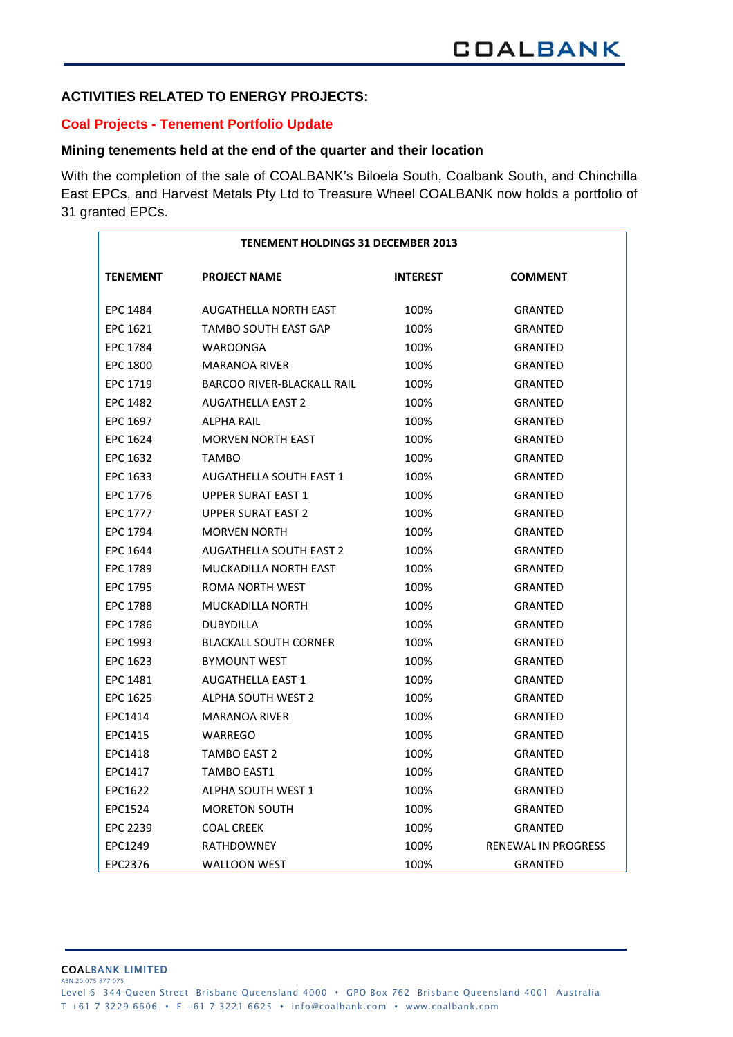# **ACTIVITIES RELATED TO ENERGY PROJECTS:**

#### **Coal Projects - Tenement Portfolio Update**

#### **Mining tenements held at the end of the quarter and their location**

With the completion of the sale of COALBANK's Biloela South, Coalbank South, and Chinchilla East EPCs, and Harvest Metals Pty Ltd to Treasure Wheel COALBANK now holds a portfolio of 31 granted EPCs.

| <b>TENEMENT HOLDINGS 31 DECEMBER 2013</b> |                                |                 |                     |  |  |  |  |
|-------------------------------------------|--------------------------------|-----------------|---------------------|--|--|--|--|
| <b>TENEMENT</b>                           | <b>PROJECT NAME</b>            | <b>INTEREST</b> | <b>COMMENT</b>      |  |  |  |  |
| <b>EPC 1484</b>                           | <b>AUGATHELLA NORTH EAST</b>   | 100%            | <b>GRANTED</b>      |  |  |  |  |
| EPC 1621                                  | TAMBO SOUTH EAST GAP           | 100%            | <b>GRANTED</b>      |  |  |  |  |
| <b>EPC 1784</b>                           | WAROONGA                       | 100%            | GRANTED             |  |  |  |  |
| EPC 1800                                  | <b>MARANOA RIVER</b>           | 100%            | <b>GRANTED</b>      |  |  |  |  |
| EPC 1719                                  | BARCOO RIVER-BLACKALL RAIL     | 100%            | GRANTED             |  |  |  |  |
| EPC 1482                                  | <b>AUGATHELLA EAST 2</b>       | 100%            | <b>GRANTED</b>      |  |  |  |  |
| EPC 1697                                  | ALPHA RAIL                     | 100%            | <b>GRANTED</b>      |  |  |  |  |
| EPC 1624                                  | <b>MORVEN NORTH EAST</b>       | 100%            | <b>GRANTED</b>      |  |  |  |  |
| EPC 1632                                  | <b>TAMBO</b>                   | 100%            | <b>GRANTED</b>      |  |  |  |  |
| EPC 1633                                  | <b>AUGATHELLA SOUTH EAST 1</b> | 100%            | <b>GRANTED</b>      |  |  |  |  |
| EPC 1776                                  | <b>UPPER SURAT EAST 1</b>      | 100%            | GRANTED             |  |  |  |  |
| EPC 1777                                  | <b>UPPER SURAT EAST 2</b>      | 100%            | <b>GRANTED</b>      |  |  |  |  |
| EPC 1794                                  | <b>MORVEN NORTH</b>            | 100%            | <b>GRANTED</b>      |  |  |  |  |
| EPC 1644                                  | <b>AUGATHELLA SOUTH EAST 2</b> | 100%            | <b>GRANTED</b>      |  |  |  |  |
| EPC 1789                                  | MUCKADILLA NORTH EAST          | 100%            | <b>GRANTED</b>      |  |  |  |  |
| EPC 1795                                  | ROMA NORTH WEST                | 100%            | GRANTED             |  |  |  |  |
| <b>EPC 1788</b>                           | <b>MUCKADILLA NORTH</b>        | 100%            | GRANTED             |  |  |  |  |
| EPC 1786                                  | <b>DUBYDILLA</b>               | 100%            | <b>GRANTED</b>      |  |  |  |  |
| EPC 1993                                  | <b>BLACKALL SOUTH CORNER</b>   | 100%            | <b>GRANTED</b>      |  |  |  |  |
| <b>EPC 1623</b>                           | <b>BYMOUNT WEST</b>            | 100%            | <b>GRANTED</b>      |  |  |  |  |
| EPC 1481                                  | <b>AUGATHELLA EAST 1</b>       | 100%            | <b>GRANTED</b>      |  |  |  |  |
| EPC 1625                                  | <b>ALPHA SOUTH WEST 2</b>      | 100%            | <b>GRANTED</b>      |  |  |  |  |
| EPC1414                                   | <b>MARANOA RIVER</b>           | 100%            | <b>GRANTED</b>      |  |  |  |  |
| EPC1415                                   | WARREGO                        | 100%            | <b>GRANTED</b>      |  |  |  |  |
| EPC1418                                   | <b>TAMBO EAST 2</b>            | 100%            | GRANTED             |  |  |  |  |
| EPC1417                                   | <b>TAMBO EAST1</b>             | 100%            | <b>GRANTED</b>      |  |  |  |  |
| EPC1622                                   | <b>ALPHA SOUTH WEST 1</b>      | 100%            | GRANTED             |  |  |  |  |
| EPC1524                                   | <b>MORETON SOUTH</b>           | 100%            | <b>GRANTED</b>      |  |  |  |  |
| <b>EPC 2239</b>                           | <b>COAL CREEK</b>              | 100%            | GRANTED             |  |  |  |  |
| EPC1249                                   | <b>RATHDOWNEY</b>              | 100%            | RENEWAL IN PROGRESS |  |  |  |  |
| EPC2376                                   | <b>WALLOON WEST</b>            | 100%            | <b>GRANTED</b>      |  |  |  |  |